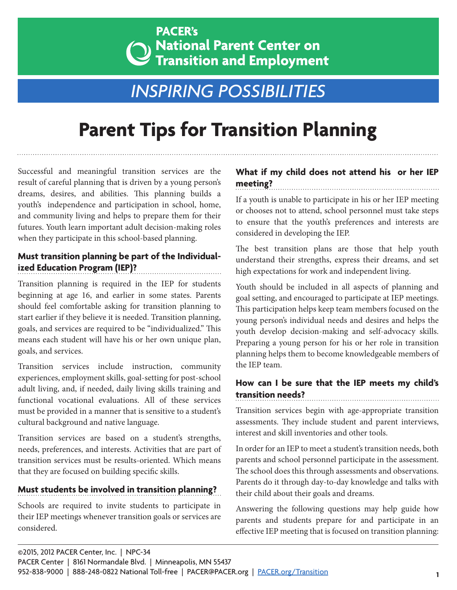## **PACER's** ) National Parent Center on Transition and Employment

## *INSPIRING POSSIBILITIES*

# **Parent Tips for Transition Planning**

Successful and meaningful transition services are the result of careful planning that is driven by a young person's dreams, desires, and abilities. This planning builds a youth's independence and participation in school, home, and community living and helps to prepare them for their futures. Youth learn important adult decision-making roles when they participate in this school-based planning.

### **Must transition planning be part of the Individualized Education Program (IEP)?**

Transition planning is required in the IEP for students beginning at age 16, and earlier in some states. Parents should feel comfortable asking for transition planning to start earlier if they believe it is needed. Transition planning, goals, and services are required to be "individualized." This means each student will have his or her own unique plan, goals, and services.

Transition services include instruction, community experiences, employment skills, goal-setting for post-school adult living, and, if needed, daily living skills training and functional vocational evaluations. All of these services must be provided in a manner that is sensitive to a student's cultural background and native language.

Transition services are based on a student's strengths, needs, preferences, and interests. Activities that are part of transition services must be results-oriented. Which means that they are focused on building specific skills.

### **Must students be involved in transition planning?**

Schools are required to invite students to participate in their IEP meetings whenever transition goals or services are considered.

#### **What if my child does not attend his or her IEP meeting?**

If a youth is unable to participate in his or her IEP meeting or chooses not to attend, school personnel must take steps to ensure that the youth's preferences and interests are considered in developing the IEP.

The best transition plans are those that help youth understand their strengths, express their dreams, and set high expectations for work and independent living.

Youth should be included in all aspects of planning and goal setting, and encouraged to participate at IEP meetings. This participation helps keep team members focused on the young person's individual needs and desires and helps the youth develop decision-making and self-advocacy skills. Preparing a young person for his or her role in transition planning helps them to become knowledgeable members of the IEP team.

### **How can I be sure that the IEP meets my child's transition needs?**

Transition services begin with age-appropriate transition assessments. They include student and parent interviews, interest and skill inventories and other tools.

In order for an IEP to meet a student's transition needs, both parents and school personnel participate in the assessment. The school does this through assessments and observations. Parents do it through day-to-day knowledge and talks with their child about their goals and dreams.

Answering the following questions may help guide how parents and students prepare for and participate in an effective IEP meeting that is focused on transition planning: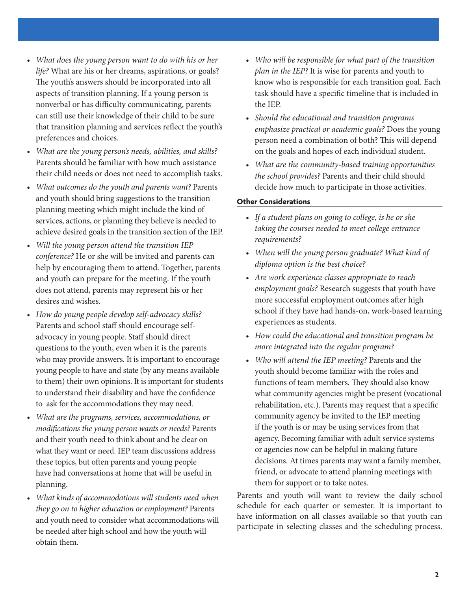- *What does the young person want to do with his or her life?* What are his or her dreams, aspirations, or goals? The youth's answers should be incorporated into all aspects of transition planning. If a young person is nonverbal or has difficulty communicating, parents can still use their knowledge of their child to be sure that transition planning and services reflect the youth's preferences and choices.
- *What are the young person's needs, abilities, and skills?*  Parents should be familiar with how much assistance their child needs or does not need to accomplish tasks.
- *What outcomes do the youth and parents want?* Parents and youth should bring suggestions to the transition planning meeting which might include the kind of services, actions, or planning they believe is needed to achieve desired goals in the transition section of the IEP.
- *Will the young person attend the transition IEP conference?* He or she will be invited and parents can help by encouraging them to attend. Together, parents and youth can prepare for the meeting. If the youth does not attend, parents may represent his or her desires and wishes.
- *How do young people develop self-advocacy skills?*  Parents and school staff should encourage selfadvocacy in young people. Staff should direct questions to the youth, even when it is the parents who may provide answers. It is important to encourage young people to have and state (by any means available to them) their own opinions. It is important for students to understand their disability and have the confidence to ask for the accommodations they may need.
- *What are the programs, services, accommodations, or modifications the young person wants or needs?* Parents and their youth need to think about and be clear on what they want or need. IEP team discussions address these topics, but often parents and young people have had conversations at home that will be useful in planning.
- *What kinds of accommodations will students need when they go on to higher education or employment?* Parents and youth need to consider what accommodations will be needed after high school and how the youth will obtain them.
- *Who will be responsible for what part of the transition plan in the IEP?* It is wise for parents and youth to know who is responsible for each transition goal. Each task should have a specific timeline that is included in the IEP.
- *Should the educational and transition programs emphasize practical or academic goals?* Does the young person need a combination of both? This will depend on the goals and hopes of each individual student.
- *What are the community-based training opportunities the school provides?* Parents and their child should decide how much to participate in those activities.

#### **Other Considerations**

- *If a student plans on going to college, is he or she taking the courses needed to meet college entrance requirements?*
- *When will the young person graduate? What kind of diploma option is the best choice?*
- *Are work experience classes appropriate to reach employment goals?* Research suggests that youth have more successful employment outcomes after high school if they have had hands-on, work-based learning experiences as students.
- *How could the educational and transition program be more integrated into the regular program?*
- *Who will attend the IEP meeting?* Parents and the youth should become familiar with the roles and functions of team members. They should also know what community agencies might be present (vocational rehabilitation, etc.). Parents may request that a specific community agency be invited to the IEP meeting if the youth is or may be using services from that agency. Becoming familiar with adult service systems or agencies now can be helpful in making future decisions. At times parents may want a family member, friend, or advocate to attend planning meetings with them for support or to take notes.

Parents and youth will want to review the daily school schedule for each quarter or semester. It is important to have information on all classes available so that youth can participate in selecting classes and the scheduling process.